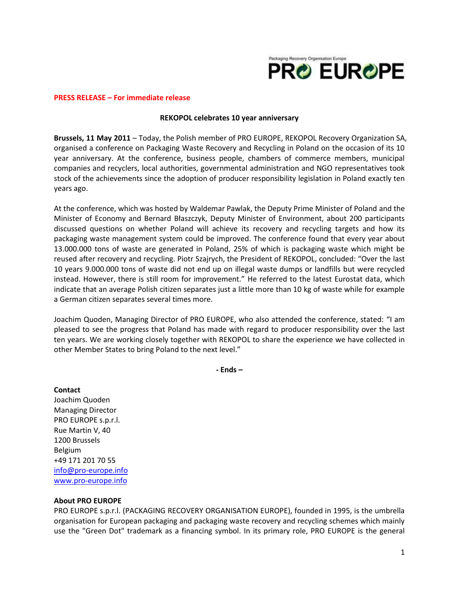

## **PRESS RELEASE – For immediate release**

## **REKOPOL celebrates 10 year anniversary**

**Brussels, 11 May 2011** – Today, the Polish member of PRO EUROPE, REKOPOL Recovery Organization SA, organised a conference on Packaging Waste Recovery and Recycling in Poland on the occasion of its 10 year anniversary. At the conference, business people, chambers of commerce members, municipal companies and recyclers, local authorities, governmental administration and NGO representatives took stock of the achievements since the adoption of producer responsibility legislation in Poland exactly ten years ago.

At the conference, which was hosted by Waldemar Pawlak, the Deputy Prime Minister of Poland and the Minister of Economy and Bernard Błaszczyk, Deputy Minister of Environment, about 200 participants discussed questions on whether Poland will achieve its recovery and recycling targets and how its packaging waste management system could be improved. The conference found that every year about 13.000.000 tons of waste are generated in Poland, 25% of which is packaging waste which might be reused after recovery and recycling. Piotr Szajrych, the President of REKOPOL, concluded: "Over the last 10 years 9.000.000 tons of waste did not end up on illegal waste dumps or landfills but were recycled instead. However, there is still room for improvement." He referred to the latest Eurostat data, which indicate that an average Polish citizen separates just a little more than 10 kg of waste while for example a German citizen separates several times more.

Joachim Quoden, Managing Director of PRO EUROPE, who also attended the conference, stated: "I am pleased to see the progress that Poland has made with regard to producer responsibility over the last ten years. We are working closely together with REKOPOL to share the experience we have collected in other Member States to bring Poland to the next level."

**- Ends –**

## **Contact**

Joachim Quoden Managing Director PRO EUROPE s.p.r.l. Rue Martin V, 40 1200 Brussels Belgium +49 171 201 70 55 [info@pro-europe.info](mailto:info@pro-europe.info) [www.pro-europe.info](http://www.pro-europe.info/)

## **About PRO EUROPE**

PRO EUROPE s.p.r.l. (PACKAGING RECOVERY ORGANISATION EUROPE), founded in 1995, is the umbrella organisation for European packaging and packaging waste recovery and recycling schemes which mainly use the "Green Dot" trademark as a financing symbol. In its primary role, PRO EUROPE is the general